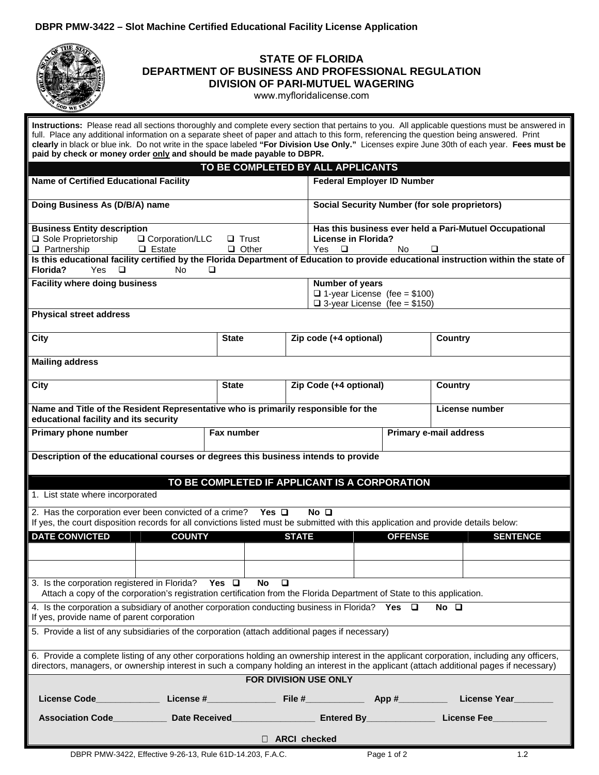## **DBPR PMW-3422 – Slot Machine Certified Educational Facility License Application**



## **STATE OF FLORIDA DEPARTMENT OF BUSINESS AND PROFESSIONAL REGULATION DIVISION OF PARI-MUTUEL WAGERING**

<www.myfloridalicense.com>

| Instructions: Please read all sections thoroughly and complete every section that pertains to you. All applicable questions must be answered in<br>full. Place any additional information on a separate sheet of paper and attach to this form, referencing the question being answered. Print |               |                                                                                                  |                                                      |                        |  |  |  |
|------------------------------------------------------------------------------------------------------------------------------------------------------------------------------------------------------------------------------------------------------------------------------------------------|---------------|--------------------------------------------------------------------------------------------------|------------------------------------------------------|------------------------|--|--|--|
| clearly in black or blue ink. Do not write in the space labeled "For Division Use Only." Licenses expire June 30th of each year. Fees must be<br>paid by check or money order only and should be made payable to DBPR.                                                                         |               |                                                                                                  |                                                      |                        |  |  |  |
| TO BE COMPLETED BY ALL APPLICANTS                                                                                                                                                                                                                                                              |               |                                                                                                  |                                                      |                        |  |  |  |
| <b>Name of Certified Educational Facility</b>                                                                                                                                                                                                                                                  |               |                                                                                                  | <b>Federal Employer ID Number</b>                    |                        |  |  |  |
| Doing Business As (D/B/A) name                                                                                                                                                                                                                                                                 |               |                                                                                                  | <b>Social Security Number (for sole proprietors)</b> |                        |  |  |  |
| <b>Business Entity description</b><br>□ Sole Proprietorship<br>□ Corporation/LLC<br>$\Box$ Partnership<br>$\Box$ Estate                                                                                                                                                                        | Yes<br>$\Box$ | Has this business ever held a Pari-Mutuel Occupational<br><b>License in Florida?</b><br>No.<br>□ |                                                      |                        |  |  |  |
| Is this educational facility certified by the Florida Department of Education to provide educational instruction within the state of<br>Florida?<br><b>Yes</b><br><b>□</b><br><b>No</b>                                                                                                        | □             |                                                                                                  |                                                      |                        |  |  |  |
| <b>Facility where doing business</b>                                                                                                                                                                                                                                                           |               | Number of years<br>$\Box$ 1-year License (fee = \$100)<br>$\Box$ 3-year License (fee = \$150)    |                                                      |                        |  |  |  |
| <b>Physical street address</b>                                                                                                                                                                                                                                                                 |               |                                                                                                  |                                                      |                        |  |  |  |
| <b>City</b>                                                                                                                                                                                                                                                                                    | <b>State</b>  | Zip code (+4 optional)                                                                           |                                                      | <b>Country</b>         |  |  |  |
| <b>Mailing address</b>                                                                                                                                                                                                                                                                         |               |                                                                                                  |                                                      |                        |  |  |  |
| City                                                                                                                                                                                                                                                                                           | <b>State</b>  | Zip Code (+4 optional)                                                                           |                                                      | <b>Country</b>         |  |  |  |
| Name and Title of the Resident Representative who is primarily responsible for the<br>educational facility and its security                                                                                                                                                                    |               |                                                                                                  |                                                      | License number         |  |  |  |
| Primary phone number                                                                                                                                                                                                                                                                           | Fax number    |                                                                                                  |                                                      | Primary e-mail address |  |  |  |
| Description of the educational courses or degrees this business intends to provide                                                                                                                                                                                                             |               |                                                                                                  |                                                      |                        |  |  |  |
|                                                                                                                                                                                                                                                                                                |               | TO BE COMPLETED IF APPLICANT IS A CORPORATION                                                    |                                                      |                        |  |  |  |
| 1. List state where incorporated                                                                                                                                                                                                                                                               |               |                                                                                                  |                                                      |                        |  |  |  |
| 2. Has the corporation ever been convicted of a crime?<br>Yes $\Box$<br>$No$ $\Box$<br>If yes, the court disposition records for all convictions listed must be submitted with this application and provide details below:                                                                     |               |                                                                                                  |                                                      |                        |  |  |  |
| <b>DATE CONVICTED</b><br><b>COUNTY</b>                                                                                                                                                                                                                                                         |               | <b>STATE</b>                                                                                     | <b>OFFENSE</b>                                       | <b>SENTENCE</b>        |  |  |  |
|                                                                                                                                                                                                                                                                                                |               |                                                                                                  |                                                      |                        |  |  |  |
| 3. Is the corporation registered in Florida?<br>No<br>Yes □<br>□<br>Attach a copy of the corporation's registration certification from the Florida Department of State to this application.                                                                                                    |               |                                                                                                  |                                                      |                        |  |  |  |
| 4. Is the corporation a subsidiary of another corporation conducting business in Florida? Yes<br>If yes, provide name of parent corporation                                                                                                                                                    |               |                                                                                                  | o                                                    | No 口                   |  |  |  |
| 5. Provide a list of any subsidiaries of the corporation (attach additional pages if necessary)                                                                                                                                                                                                |               |                                                                                                  |                                                      |                        |  |  |  |
| 6. Provide a complete listing of any other corporations holding an ownership interest in the applicant corporation, including any officers,<br>directors, managers, or ownership interest in such a company holding an interest in the applicant (attach additional pages if necessary)        |               |                                                                                                  |                                                      |                        |  |  |  |
| FOR DIVISION USE ONLY                                                                                                                                                                                                                                                                          |               |                                                                                                  |                                                      |                        |  |  |  |
|                                                                                                                                                                                                                                                                                                |               |                                                                                                  |                                                      |                        |  |  |  |
|                                                                                                                                                                                                                                                                                                |               |                                                                                                  |                                                      |                        |  |  |  |
| $\Box$ ARCI checked                                                                                                                                                                                                                                                                            |               |                                                                                                  |                                                      |                        |  |  |  |
| DBPR PMW-3422, Effective 9-26-13, Rule 61D-14.203, F.A.C.                                                                                                                                                                                                                                      |               |                                                                                                  | Page 1 of 2                                          | 1.2                    |  |  |  |